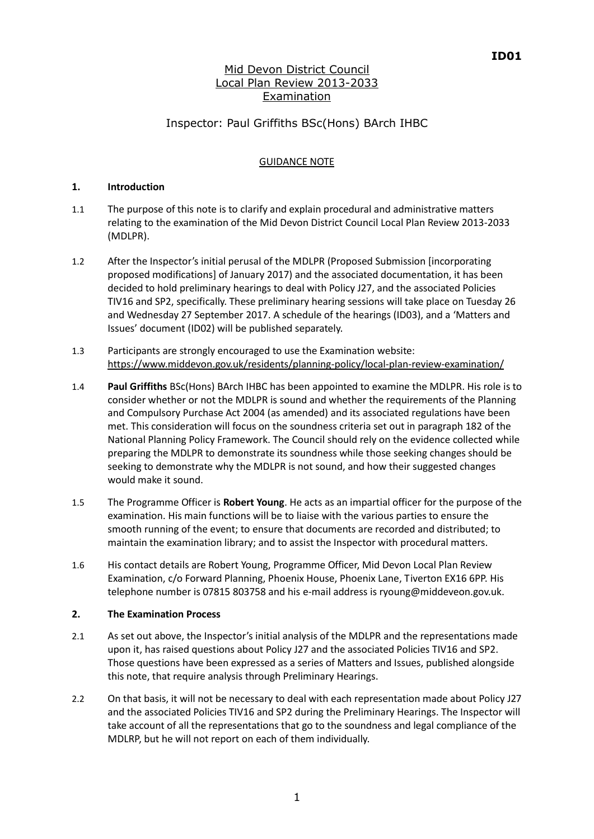# Mid Devon District Council Local Plan Review 2013-2033 Examination

# Inspector: Paul Griffiths BSc(Hons) BArch IHBC

## GUIDANCE NOTE

## **1. Introduction**

- 1.1 The purpose of this note is to clarify and explain procedural and administrative matters relating to the examination of the Mid Devon District Council Local Plan Review 2013-2033 (MDLPR).
- 1.2 After the Inspector's initial perusal of the MDLPR (Proposed Submission [incorporating proposed modifications] of January 2017) and the associated documentation, it has been decided to hold preliminary hearings to deal with Policy J27, and the associated Policies TIV16 and SP2, specifically. These preliminary hearing sessions will take place on Tuesday 26 and Wednesday 27 September 2017. A schedule of the hearings (ID03), and a 'Matters and Issues' document (ID02) will be published separately.
- 1.3 Participants are strongly encouraged to use the Examination website: <https://www.middevon.gov.uk/residents/planning-policy/local-plan-review-examination/>
- 1.4 **Paul Griffiths** BSc(Hons) BArch IHBC has been appointed to examine the MDLPR. His role is to consider whether or not the MDLPR is sound and whether the requirements of the Planning and Compulsory Purchase Act 2004 (as amended) and its associated regulations have been met. This consideration will focus on the soundness criteria set out in paragraph 182 of the National Planning Policy Framework. The Council should rely on the evidence collected while preparing the MDLPR to demonstrate its soundness while those seeking changes should be seeking to demonstrate why the MDLPR is not sound, and how their suggested changes would make it sound.
- 1.5 The Programme Officer is **Robert Young**. He acts as an impartial officer for the purpose of the examination. His main functions will be to liaise with the various parties to ensure the smooth running of the event; to ensure that documents are recorded and distributed; to maintain the examination library; and to assist the Inspector with procedural matters.
- 1.6 His contact details are Robert Young, Programme Officer, Mid Devon Local Plan Review Examination, c/o Forward Planning, Phoenix House, Phoenix Lane, Tiverton EX16 6PP. His telephone number is 07815 803758 and his e-mail address is ryoung@middeveon.gov.uk.

### **2. The Examination Process**

- 2.1 As set out above, the Inspector's initial analysis of the MDLPR and the representations made upon it, has raised questions about Policy J27 and the associated Policies TIV16 and SP2. Those questions have been expressed as a series of Matters and Issues, published alongside this note, that require analysis through Preliminary Hearings.
- 2.2 On that basis, it will not be necessary to deal with each representation made about Policy J27 and the associated Policies TIV16 and SP2 during the Preliminary Hearings. The Inspector will take account of all the representations that go to the soundness and legal compliance of the MDLRP, but he will not report on each of them individually.